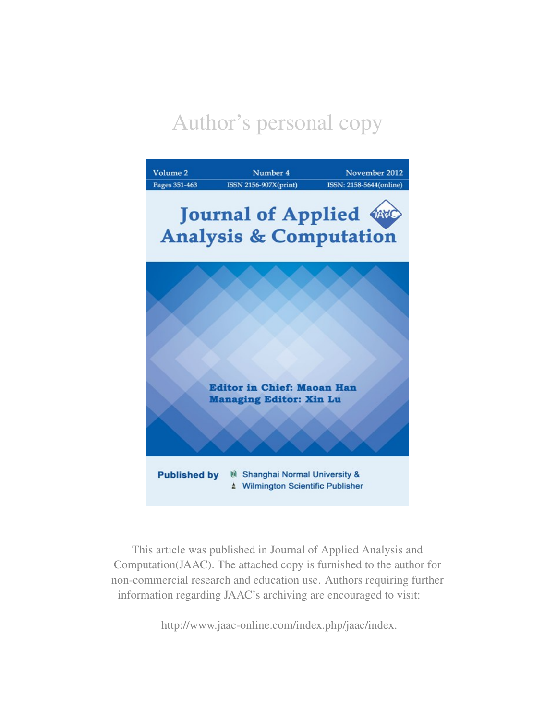# Author's personal copy



This article was published in Journal of Applied Analysis and Computation(JAAC). The attached copy is furnished to the author for non-commercial research and education use. Authors requiring further information regarding JAAC's archiving are encouraged to visit:

http://www.jaac-online.com/index.php/jaac/index.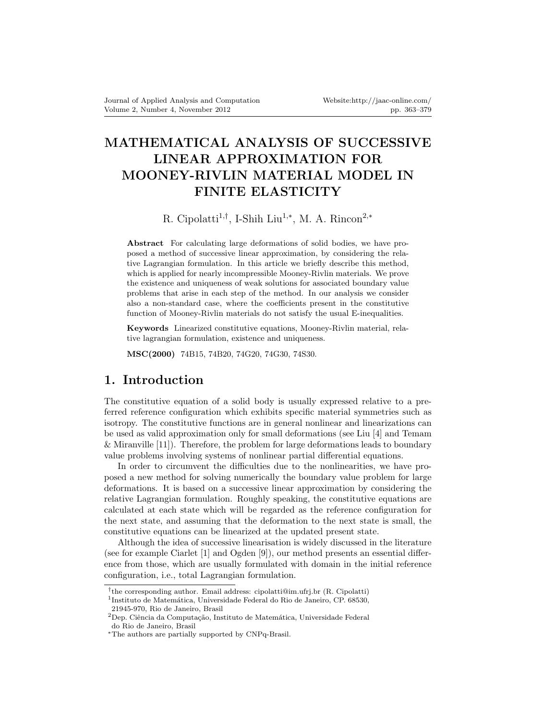# **MATHEMATICAL ANALYSIS OF SUCCESSIVE LINEAR APPROXIMATION FOR MOONEY-RIVLIN MATERIAL MODEL IN FINITE ELASTICITY**

### R. Cipolatti<sup>1,†</sup>, I-Shih Liu<sup>1,\*</sup>, M. A. Rincon<sup>2,\*</sup>

**Abstract** For calculating large deformations of solid bodies, we have proposed a method of successive linear approximation, by considering the relative Lagrangian formulation. In this article we briefly describe this method, which is applied for nearly incompressible Mooney-Rivlin materials. We prove the existence and uniqueness of weak solutions for associated boundary value problems that arise in each step of the method. In our analysis we consider also a non-standard case, where the coefficients present in the constitutive function of Mooney-Rivlin materials do not satisfy the usual E-inequalities.

**Keywords** Linearized constitutive equations, Mooney-Rivlin material, relative lagrangian formulation, existence and uniqueness.

**MSC(2000)** 74B15, 74B20, 74G20, 74G30, 74S30.

### **1. Introduction**

The constitutive equation of a solid body is usually expressed relative to a preferred reference configuration which exhibits specific material symmetries such as isotropy. The constitutive functions are in general nonlinear and linearizations can be used as valid approximation only for small deformations (see Liu [4] and Temam & Miranville [11]). Therefore, the problem for large deformations leads to boundary value problems involving systems of nonlinear partial differential equations.

In order to circumvent the difficulties due to the nonlinearities, we have proposed a new method for solving numerically the boundary value problem for large deformations. It is based on a successive linear approximation by considering the relative Lagrangian formulation. Roughly speaking, the constitutive equations are calculated at each state which will be regarded as the reference configuration for the next state, and assuming that the deformation to the next state is small, the constitutive equations can be linearized at the updated present state.

Although the idea of successive linearisation is widely discussed in the literature (see for example Ciarlet [1] and Ogden [9]), our method presents an essential difference from those, which are usually formulated with domain in the initial reference configuration, i.e., total Lagrangian formulation.

*<sup>†</sup>* the corresponding author. Email address: cipolatti@im.ufrj.br (R. Cipolatti) <sup>1</sup>Instituto de Matemática, Universidade Federal do Rio de Janeiro, CP. 68530, 21945-970, Rio de Janeiro, Brasil

 $2$ Dep. Ciência da Computação, Instituto de Matemática, Universidade Federal do Rio de Janeiro, Brasil

*<sup>∗</sup>*The authors are partially supported by CNPq-Brasil.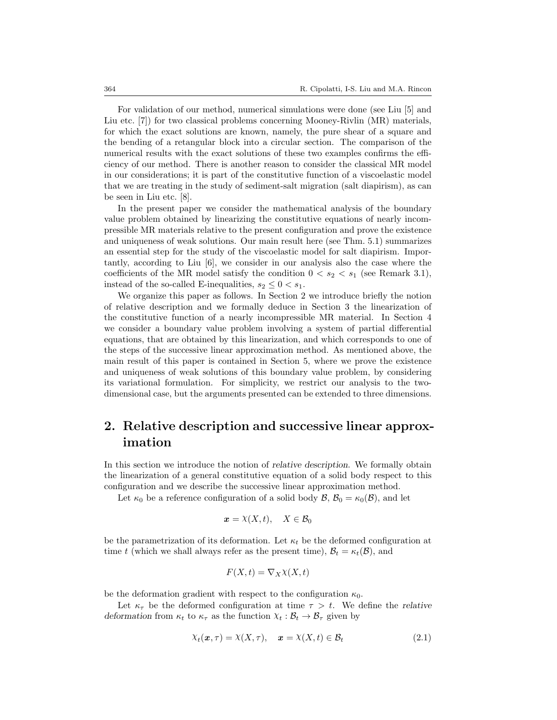For validation of our method, numerical simulations were done (see Liu [5] and Liu etc. [7]) for two classical problems concerning Mooney-Rivlin (MR) materials, for which the exact solutions are known, namely, the pure shear of a square and the bending of a retangular block into a circular section. The comparison of the numerical results with the exact solutions of these two examples confirms the efficiency of our method. There is another reason to consider the classical MR model in our considerations; it is part of the constitutive function of a viscoelastic model that we are treating in the study of sediment-salt migration (salt diapirism), as can be seen in Liu etc. [8].

In the present paper we consider the mathematical analysis of the boundary value problem obtained by linearizing the constitutive equations of nearly incompressible MR materials relative to the present configuration and prove the existence and uniqueness of weak solutions. Our main result here (see Thm. 5.1) summarizes an essential step for the study of the viscoelastic model for salt diapirism. Importantly, according to Liu [6], we consider in our analysis also the case where the coefficients of the MR model satisfy the condition  $0 < s_2 < s_1$  (see Remark 3.1), instead of the so-called E-inequalities,  $s_2 \leq 0 < s_1$ .

We organize this paper as follows. In Section 2 we introduce briefly the notion of relative description and we formally deduce in Section 3 the linearization of the constitutive function of a nearly incompressible MR material. In Section 4 we consider a boundary value problem involving a system of partial differential equations, that are obtained by this linearization, and which corresponds to one of the steps of the successive linear approximation method. As mentioned above, the main result of this paper is contained in Section 5, where we prove the existence and uniqueness of weak solutions of this boundary value problem, by considering its variational formulation. For simplicity, we restrict our analysis to the twodimensional case, but the arguments presented can be extended to three dimensions.

## **2. Relative description and successive linear approximation**

In this section we introduce the notion of *relative description*. We formally obtain the linearization of a general constitutive equation of a solid body respect to this configuration and we describe the successive linear approximation method.

Let  $\kappa_0$  be a reference configuration of a solid body  $\mathcal{B}, \mathcal{B}_0 = \kappa_0(\mathcal{B})$ , and let

$$
\boldsymbol{x} = \lambda(X, t), \quad X \in \mathcal{B}_0
$$

be the parametrization of its deformation. Let  $\kappa_t$  be the deformed configuration at time *t* (which we shall always refer as the present time),  $B_t = \kappa_t(\mathcal{B})$ , and

$$
F(X,t) = \nabla_X \chi(X,t)
$$

be the deformation gradient with respect to the configuration  $\kappa_0$ .

Let  $\kappa_{\tau}$  be the deformed configuration at time  $\tau > t$ . We define the *relative deformation* from  $\kappa_t$  to  $\kappa_{\tau}$  as the function  $\chi_t : \mathcal{B}_t \to \mathcal{B}_{\tau}$  given by

$$
\chi_t(\mathbf{x}, \tau) = \chi(X, \tau), \quad \mathbf{x} = \chi(X, t) \in \mathcal{B}_t \tag{2.1}
$$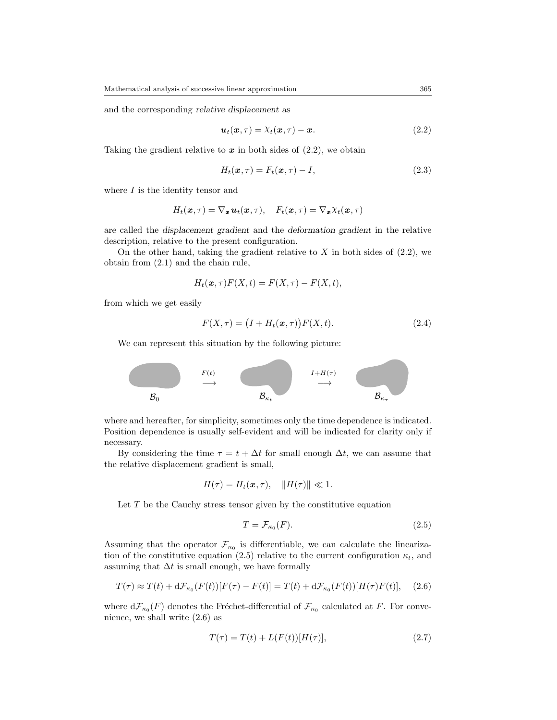and the corresponding *relative displacement* as

$$
\boldsymbol{u}_t(\boldsymbol{x},\tau) = \lambda_t(\boldsymbol{x},\tau) - \boldsymbol{x}.\tag{2.2}
$$

Taking the gradient relative to  $x$  in both sides of  $(2.2)$ , we obtain

$$
H_t(\boldsymbol{x}, \tau) = F_t(\boldsymbol{x}, \tau) - I,\tag{2.3}
$$

where  $I$  is the identity tensor and

$$
H_t(\mathbf{x},\tau) = \nabla_{\mathbf{x}} \mathbf{u}_t(\mathbf{x},\tau), \quad F_t(\mathbf{x},\tau) = \nabla_{\mathbf{x}} \chi_t(\mathbf{x},\tau)
$$

are called the *displacement gradient* and the *deformation gradient* in the relative description, relative to the present configuration.

On the other hand, taking the gradient relative to  $X$  in both sides of  $(2.2)$ , we obtain from (2.1) and the chain rule,

$$
H_t(\boldsymbol{x},\tau)F(X,t) = F(X,\tau) - F(X,t),
$$

from which we get easily

$$
F(X,\tau) = (I + H_t(\mathbf{x},\tau))F(X,t).
$$
\n(2.4)

We can represent this situation by the following picture:



where and hereafter, for simplicity, sometimes only the time dependence is indicated. Position dependence is usually self-evident and will be indicated for clarity only if necessary.

By considering the time  $\tau = t + \Delta t$  for small enough  $\Delta t$ , we can assume that the relative displacement gradient is small,

$$
H(\tau) = H_t(\boldsymbol{x}, \tau), \quad ||H(\tau)|| \ll 1.
$$

Let  $T$  be the Cauchy stress tensor given by the constitutive equation

$$
T = \mathcal{F}_{\kappa_0}(F). \tag{2.5}
$$

Assuming that the operator  $\mathcal{F}_{\kappa_0}$  is differentiable, we can calculate the linearization of the constitutive equation (2.5) relative to the current configuration  $\kappa_t$ , and assuming that  $\Delta t$  is small enough, we have formally

$$
T(\tau) \approx T(t) + d\mathcal{F}_{\kappa_0}(F(t))[F(\tau) - F(t)] = T(t) + d\mathcal{F}_{\kappa_0}(F(t))[H(\tau)F(t)], \quad (2.6)
$$

where  $d\mathcal{F}_{\kappa_0}(F)$  denotes the Fréchet-differential of  $\mathcal{F}_{\kappa_0}$  calculated at *F*. For convenience, we shall write (2.6) as

$$
T(\tau) = T(t) + L(F(t))[H(\tau)],
$$
\n(2.7)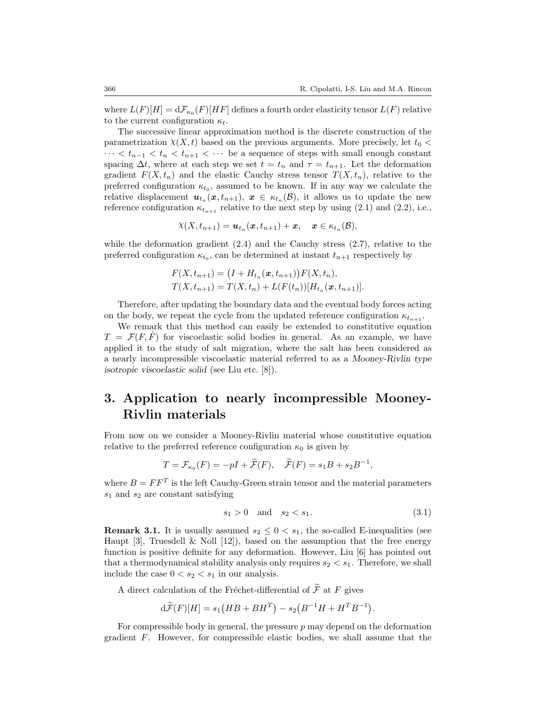where  $L(F)[H] = d\mathcal{F}_{\kappa_0}(F)[HF]$  defines a fourth order elasticity tensor  $L(F)$  relative to the current configuration *κt*.

The successive linear approximation method is the discrete construction of the parametrization  $\chi(X, t)$  based on the previous arguments. More precisely, let  $t_0$   $\lt$ *· · · < t<sup>n</sup>−*<sup>1</sup> *< t<sup>n</sup> < tn*+1 *< · · ·* be a sequence of steps with small enough constant spacing  $\Delta t$ , where at each step we set  $t = t_n$  and  $\tau = t_{n+1}$ . Let the deformation gradient  $F(X, t_n)$  and the elastic Cauchy stress tensor  $T(X, t_n)$ , relative to the preferred configuration  $\kappa_{t_0}$ , assumed to be known. If in any way we calculate the relative displacement  $u_{t_n}(x,t_{n+1}), x \in \kappa_{t_n}(\mathcal{B})$ , it allows us to update the new reference configuration  $\kappa_{t_{n+1}}$  relative to the next step by using (2.1) and (2.2), i.e.,

$$
\chi(X,t_{n+1}) = \boldsymbol{u}_{t_n}(\boldsymbol{x},t_{n+1}) + \boldsymbol{x}, \quad \boldsymbol{x} \in \kappa_{t_n}(\mathcal{B}),
$$

while the deformation gradient  $(2.4)$  and the Cauchy stress  $(2.7)$ , relative to the preferred configuration  $\kappa_{t_0}$ , can be determined at instant  $t_{n+1}$  respectively by

$$
F(X, t_{n+1}) = (I + H_{t_n}(\mathbf{x}, t_{n+1})) F(X, t_n),
$$
  
\n
$$
T(X, t_{n+1}) = T(X, t_n) + L(F(t_n)) [H_{t_n}(\mathbf{x}, t_{n+1})].
$$

Therefore, after updating the boundary data and the eventual body forces acting on the body, we repeat the cycle from the updated reference configuration  $\kappa_{t_{n+1}}$ .

We remark that this method can easily be extended to constitutive equation  $T = \mathcal{F}(F, F)$  for viscoelastic solid bodies in general. As an example, we have applied it to the study of salt migration, where the salt has been considered as a nearly incompressible viscoelastic material referred to as a *Mooney-Rivlin type isotropic viscoelastic solid* (see Liu etc. [8]).

## **3. Application to nearly incompressible Mooney-Rivlin materials**

From now on we consider a Mooney-Rivlin material whose constitutive equation relative to the preferred reference configuration  $\kappa_0$  is given by

$$
T = \mathcal{F}_{\kappa_0}(F) = -pI + \widetilde{\mathcal{F}}(F), \quad \widetilde{\mathcal{F}}(F) = s_1B + s_2B^{-1},
$$

where  $B = FF^T$  is the left Cauchy-Green strain tensor and the material parameters *s*<sup>1</sup> and *s*<sup>2</sup> are constant satisfying

$$
s_1 > 0 \quad \text{and} \quad s_2 < s_1. \tag{3.1}
$$

**Remark 3.1.** It is usually assumed  $s_2 \leq 0 < s_1$ , the so-called E-inequalities (see Haupt [3], Truesdell  $\&$  Noll [12]), based on the assumption that the free energy function is positive definite for any deformation. However, Liu [6] has pointed out that a thermodynamical stability analysis only requires  $s_2 < s_1$ . Therefore, we shall include the case  $0 < s_2 < s_1$  in our analysis.

A direct calculation of the Fréchet-differential of  $\widetilde{\mathcal{F}}$  at  $F$  gives

$$
d\widetilde{\mathcal{F}}(F)[H] = s_1(HB + BH^T) - s_2(B^{-1}H + H^T B^{-1}).
$$

For compressible body in general, the pressure *p* may depend on the deformation gradient *F*. However, for compressible elastic bodies, we shall assume that the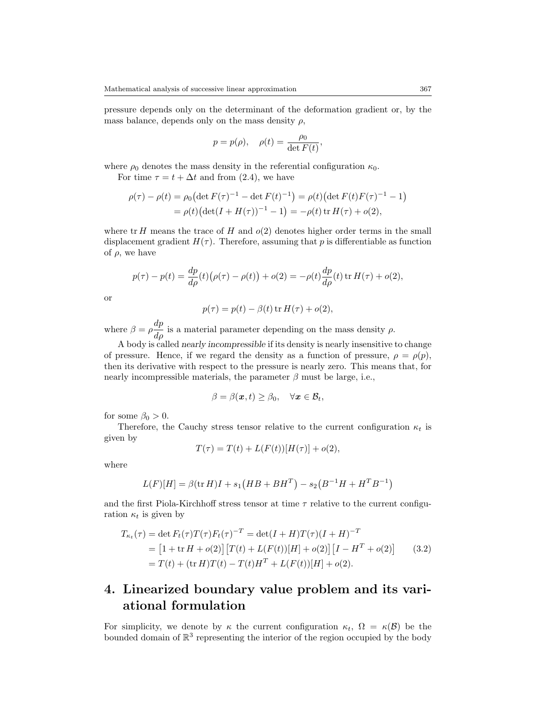pressure depends only on the determinant of the deformation gradient or, by the mass balance, depends only on the mass density  $\rho$ ,

$$
p = p(\rho), \quad \rho(t) = \frac{\rho_0}{\det F(t)},
$$

where  $\rho_0$  denotes the mass density in the referential configuration  $\kappa_0$ .

For time  $\tau = t + \Delta t$  and from (2.4), we have

$$
\rho(\tau) - \rho(t) = \rho_0 \left( \det F(\tau)^{-1} - \det F(t)^{-1} \right) = \rho(t) \left( \det F(t) F(\tau)^{-1} - 1 \right)
$$
  
= 
$$
\rho(t) \left( \det(I + H(\tau))^{-1} - 1 \right) = -\rho(t) \operatorname{tr} H(\tau) + o(2),
$$

where tr *H* means the trace of *H* and  $o(2)$  denotes higher order terms in the small displacement gradient  $H(\tau)$ . Therefore, assuming that p is differentiable as function of  $\rho$ , we have

$$
p(\tau) - p(t) = \frac{dp}{d\rho}(t) (\rho(\tau) - \rho(t)) + o(2) = -\rho(t) \frac{dp}{d\rho}(t) \operatorname{tr} H(\tau) + o(2),
$$

or

$$
p(\tau) = p(t) - \beta(t) \operatorname{tr} H(\tau) + o(2),
$$

where  $\beta = \rho \frac{dp}{d\rho}$  is a material parameter depending on the mass density  $\rho$ .

A body is called *nearly incompressible* if its density is nearly insensitive to change of pressure. Hence, if we regard the density as a function of pressure,  $\rho = \rho(p)$ , then its derivative with respect to the pressure is nearly zero. This means that, for nearly incompressible materials, the parameter  $\beta$  must be large, i.e.,

$$
\beta = \beta(\boldsymbol{x},t) \geq \beta_0, \quad \forall \boldsymbol{x} \in \mathcal{B}_t,
$$

for some  $\beta_0 > 0$ .

Therefore, the Cauchy stress tensor relative to the current configuration  $\kappa_t$  is given by

$$
T(\tau) = T(t) + L(F(t))[H(\tau)] + o(2),
$$

where

$$
L(F)[H] = \beta(\text{tr } H)I + s_1(HB + BH^T) - s_2(B^{-1}H + H^T B^{-1})
$$

and the first Piola-Kirchhoff stress tensor at time *τ* relative to the current configuration  $\kappa_t$  is given by

$$
T_{\kappa_t}(\tau) = \det F_t(\tau) T(\tau) F_t(\tau)^{-T} = \det(I + H) T(\tau) (I + H)^{-T}
$$
  
= 
$$
[1 + \operatorname{tr} H + o(2)] [T(t) + L(F(t))[H] + o(2)] [I - H^T + o(2)] \qquad (3.2)
$$
  
= 
$$
T(t) + (\operatorname{tr} H) T(t) - T(t) H^T + L(F(t))[H] + o(2).
$$

## **4. Linearized boundary value problem and its variational formulation**

For simplicity, we denote by  $\kappa$  the current configuration  $\kappa_t$ ,  $\Omega = \kappa(\mathcal{B})$  be the bounded domain of  $\mathbb{R}^3$  representing the interior of the region occupied by the body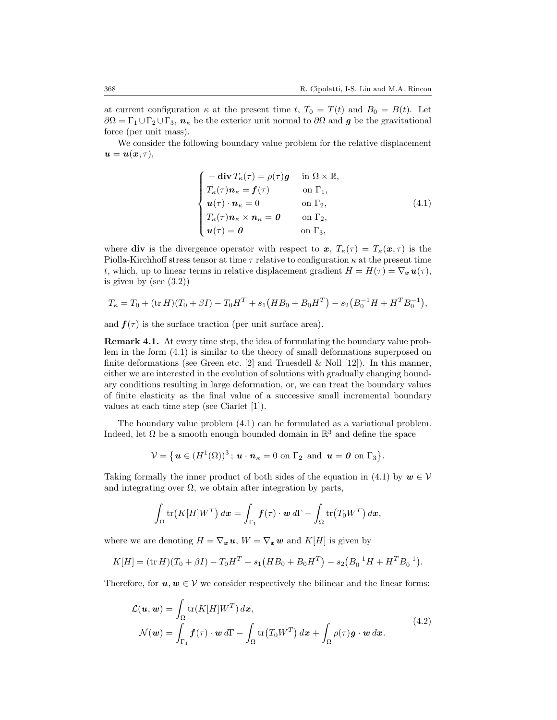at current configuration  $\kappa$  at the present time *t*,  $T_0 = T(t)$  and  $B_0 = B(t)$ . Let  $\partial\Omega = \Gamma_1 \cup \Gamma_2 \cup \Gamma_3$ ,  $n_k$  be the exterior unit normal to  $\partial\Omega$  and *g* be the gravitational force (per unit mass).

We consider the following boundary value problem for the relative displacement  $u = u(x, \tau)$ ,

$$
\begin{cases}\n-\textbf{div}\,T_{\kappa}(\tau) = \rho(\tau)g & \text{in } \Omega \times \mathbb{R}, \\
T_{\kappa}(\tau)\mathbf{n}_{\kappa} = \mathbf{f}(\tau) & \text{on } \Gamma_1, \\
\mathbf{u}(\tau) \cdot \mathbf{n}_{\kappa} = 0 & \text{on } \Gamma_2, \\
T_{\kappa}(\tau)\mathbf{n}_{\kappa} \times \mathbf{n}_{\kappa} = 0 & \text{on } \Gamma_2, \\
\mathbf{u}(\tau) = 0 & \text{on } \Gamma_3,\n\end{cases}
$$
\n(4.1)

where **div** is the divergence operator with respect to  $x, T_k(\tau) = T_k(x, \tau)$  is the Piolla-Kirchhoff stress tensor at time *τ* relative to configuration *κ* at the present time *t*, which, up to linear terms in relative displacement gradient  $H = H(\tau) = \nabla_x \mathbf{u}(\tau)$ , is given by (see  $(3.2)$ )

$$
T_{\kappa} = T_0 + (\text{tr } H)(T_0 + \beta I) - T_0 H^T + s_1 (HB_0 + B_0 H^T) - s_2 (B_0^{-1} H + H^T B_0^{-1}),
$$

and  $f(\tau)$  is the surface traction (per unit surface area).

**Remark 4.1.** At every time step, the idea of formulating the boundary value problem in the form (4.1) is similar to the theory of small deformations superposed on finite deformations (see Green etc.  $[2]$  and Truesdell & Noll  $[12]$ ). In this manner, either we are interested in the evolution of solutions with gradually changing boundary conditions resulting in large deformation, or, we can treat the boundary values of finite elasticity as the final value of a successive small incremental boundary values at each time step (see Ciarlet [1]).

The boundary value problem (4.1) can be formulated as a variational problem. Indeed, let  $\Omega$  be a smooth enough bounded domain in  $\mathbb{R}^3$  and define the space

$$
\mathcal{V} = \{ \mathbf{u} \in (H^1(\Omega))^3 \, ; \, \mathbf{u} \cdot \mathbf{n}_{\kappa} = 0 \text{ on } \Gamma_2 \text{ and } \mathbf{u} = \mathbf{0} \text{ on } \Gamma_3 \}.
$$

Taking formally the inner product of both sides of the equation in (4.1) by  $w \in V$ and integrating over  $\Omega$ , we obtain after integration by parts,

$$
\int_{\Omega} tr(K[H]W^T) dx = \int_{\Gamma_1} \boldsymbol{f}(\tau) \cdot \boldsymbol{w} d\Gamma - \int_{\Omega} tr(T_0 W^T) dx,
$$

where we are denoting  $H = \nabla_x u$ ,  $W = \nabla_x w$  and  $K[H]$  is given by

$$
K[H] = (\text{tr } H)(T_0 + \beta I) - T_0 H^T + s_1 (HB_0 + B_0 H^T) - s_2 (B_0^{-1} H + H^T B_0^{-1}).
$$

Therefore, for  $u, w \in V$  we consider respectively the bilinear and the linear forms:

$$
\mathcal{L}(\boldsymbol{u}, \boldsymbol{w}) = \int_{\Omega} \text{tr}(K[H]W^T) d\boldsymbol{x},
$$
  

$$
\mathcal{N}(\boldsymbol{w}) = \int_{\Gamma_1} \boldsymbol{f}(\tau) \cdot \boldsymbol{w} d\Gamma - \int_{\Omega} \text{tr}(T_0 W^T) d\boldsymbol{x} + \int_{\Omega} \rho(\tau) \boldsymbol{g} \cdot \boldsymbol{w} d\boldsymbol{x}.
$$
 (4.2)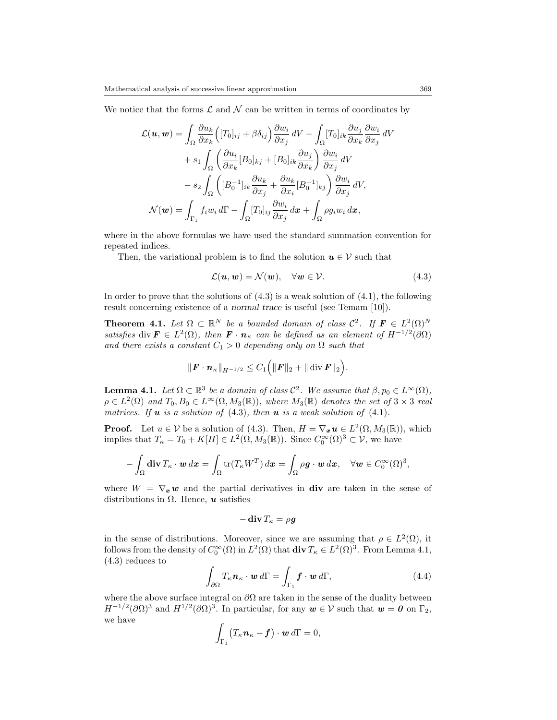We notice that the forms  $\mathcal L$  and  $\mathcal N$  can be written in terms of coordinates by

$$
\mathcal{L}(\boldsymbol{u}, \boldsymbol{w}) = \int_{\Omega} \frac{\partial u_k}{\partial x_k} \Big( [T_0]_{ij} + \beta \delta_{ij} \Big) \frac{\partial w_i}{\partial x_j} dV - \int_{\Omega} [T_0]_{ik} \frac{\partial u_j}{\partial x_k} \frac{\partial w_i}{\partial x_j} dV
$$

$$
+ s_1 \int_{\Omega} \left( \frac{\partial u_i}{\partial x_k} [B_0]_{kj} + [B_0]_{ik} \frac{\partial u_j}{\partial x_k} \right) \frac{\partial w_i}{\partial x_j} dV
$$

$$
- s_2 \int_{\Omega} \left( [B_0^{-1}]_{ik} \frac{\partial u_k}{\partial x_j} + \frac{\partial u_k}{\partial x_i} [B_0^{-1}]_{kj} \right) \frac{\partial w_i}{\partial x_j} dV,
$$

$$
\mathcal{N}(\boldsymbol{w}) = \int_{\Gamma_1} f_i w_i d\Gamma - \int_{\Omega} [T_0]_{ij} \frac{\partial w_i}{\partial x_j} d\boldsymbol{x} + \int_{\Omega} \rho g_i w_i d\boldsymbol{x},
$$

where in the above formulas we have used the standard summation convention for repeated indices.

Then, the variational problem is to find the solution  $u \in V$  such that

$$
\mathcal{L}(\boldsymbol{u},\boldsymbol{w}) = \mathcal{N}(\boldsymbol{w}), \quad \forall \boldsymbol{w} \in \mathcal{V}.
$$
 (4.3)

In order to prove that the solutions of  $(4.3)$  is a weak solution of  $(4.1)$ , the following result concerning existence of a *normal trace* is useful (see Temam [10]).

**Theorem 4.1.** Let  $\Omega \subset \mathbb{R}^N$  be a bounded domain of class  $C^2$ . If  $\mathbf{F} \in L^2(\Omega)^N$ *satisfies* div  $\mathbf{F} \in L^2(\Omega)$ , then  $\mathbf{F} \cdot \mathbf{n}_\kappa$  *can be defined as an element of*  $H^{-1/2}(\partial \Omega)$ *and there exists a constant*  $C_1 > 0$  *depending only on*  $\Omega$  *such that* 

$$
\|\bm{F}\cdot\bm{n}_{\kappa}\|_{H^{-1/2}}\leq C_1\Big(\|\bm{F}\|_2+\|\,\mathrm{div}\,\bm{F}\|_2\Big).
$$

**Lemma 4.1.** *Let*  $\Omega \subset \mathbb{R}^3$  *be a domain of class*  $C^2$ *. We assume that*  $\beta, p_0 \in L^{\infty}(\Omega)$ *,*  $\rho \in L^2(\Omega)$  *and*  $T_0, B_0 \in L^{\infty}(\Omega, M_3(\mathbb{R}))$ *, where*  $M_3(\mathbb{R})$  *denotes the set of*  $3 \times 3$  *real matrices. If u is a solution of* (4.3)*, then u is a weak solution of* (4.1)*.*

**Proof.** Let  $u \in V$  be a solution of (4.3). Then,  $H = \nabla_x u \in L^2(\Omega, M_3(\mathbb{R}))$ , which implies that  $T_{\kappa} = T_0 + K[H] \in L^2(\Omega, M_3(\mathbb{R}))$ . Since  $C_0^{\infty}(\Omega)^3 \subset \mathcal{V}$ , we have

$$
-\int_{\Omega} \mathbf{div} \, T_{\kappa} \cdot \mathbf{w} \, d\mathbf{x} = \int_{\Omega} \text{tr}(T_{\kappa} W^T) \, d\mathbf{x} = \int_{\Omega} \rho \mathbf{g} \cdot \mathbf{w} \, d\mathbf{x}, \quad \forall \mathbf{w} \in C_0^{\infty}(\Omega)^3,
$$

where  $W = \nabla_x w$  and the partial derivatives in **div** are taken in the sense of distributions in  $\Omega$ . Hence, *u* satisfies

$$
-\operatorname{\mathbf{div}} T_\kappa = \rho \boldsymbol{g}
$$

in the sense of distributions. Moreover, since we are assuming that  $\rho \in L^2(\Omega)$ , it follows from the density of  $C_0^{\infty}(\Omega)$  in  $L^2(\Omega)$  that  $\text{div } T_{\kappa} \in L^2(\Omega)^3$ . From Lemma 4.1, (4.3) reduces to

$$
\int_{\partial\Omega} T_{\kappa} \mathbf{n}_{\kappa} \cdot \mathbf{w} \, d\Gamma = \int_{\Gamma_1} \mathbf{f} \cdot \mathbf{w} \, d\Gamma, \tag{4.4}
$$

where the above surface integral on *∂*Ω are taken in the sense of the duality between  $H^{-1/2}(\partial\Omega)^3$  and  $H^{1/2}(\partial\Omega)^3$ . In particular, for any  $w \in \mathcal{V}$  such that  $w = 0$  on  $\Gamma_2$ , we have

$$
\int_{\Gamma_1} \bigl(T_\kappa \boldsymbol{n}_\kappa - \boldsymbol{f}\bigr) \cdot \boldsymbol{w} \, d\Gamma = 0,
$$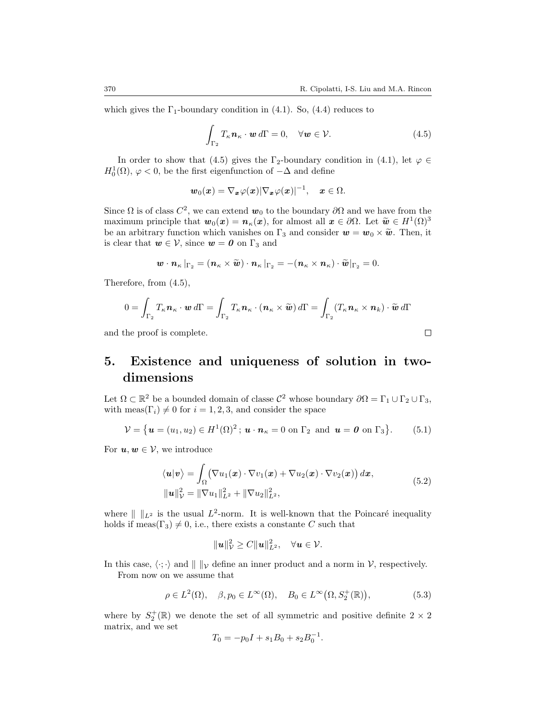$\Box$ 

which gives the  $\Gamma_1$ -boundary condition in (4.1). So, (4.4) reduces to

$$
\int_{\Gamma_2} T_{\kappa} \mathbf{n}_{\kappa} \cdot \mathbf{w} \, d\Gamma = 0, \quad \forall \mathbf{w} \in \mathcal{V}.
$$
\n(4.5)

In order to show that (4.5) gives the  $\Gamma_2$ -boundary condition in (4.1), let  $\varphi \in$  $H_0^1(\Omega)$ ,  $\varphi$  < 0, be the first eigenfunction of *−*∆ and define

$$
\boldsymbol{w}_0(\boldsymbol{x}) = \nabla_{\boldsymbol{x}} \varphi(\boldsymbol{x}) |\nabla_{\boldsymbol{x}} \varphi(\boldsymbol{x})|^{-1}, \quad \boldsymbol{x} \in \Omega.
$$

Since  $\Omega$  is of class  $C^2$ , we can extend  $\mathbf{w}_0$  to the boundary  $\partial\Omega$  and we have from the maximum principle that  $w_0(x) = n_k(x)$ , for almost all  $x \in \partial \Omega$ . Let  $\tilde{w} \in H^1(\Omega)^3$ <br>be an arbitrary function which vanishes on  $\Gamma_0$  and consider  $w = w_0 \times \tilde{w}$ . Then it be an arbitrary function which vanishes on  $\Gamma_3$  and consider  $w = w_0 \times \tilde{w}$ . Then, it is clear that  $w \in V$ , since  $w = 0$  on  $\Gamma_3$  and

$$
\mathbf{w}\cdot\mathbf{n}_{\kappa}\left|\Gamma_{2}=\left(\mathbf{n}_{\kappa}\times\widetilde{\mathbf{w}}\right)\cdot\mathbf{n}_{\kappa}\right|\Gamma_{2}=-\left(\mathbf{n}_{\kappa}\times\mathbf{n}_{\kappa}\right)\cdot\widetilde{\mathbf{w}}\right|\Gamma_{2}=0.
$$

Therefore, from (4.5),

$$
0 = \int_{\Gamma_2} T_{\kappa} \mathbf{n}_{\kappa} \cdot \mathbf{w} d\Gamma = \int_{\Gamma_2} T_{\kappa} \mathbf{n}_{\kappa} \cdot (\mathbf{n}_{\kappa} \times \widetilde{\mathbf{w}}) d\Gamma = \int_{\Gamma_2} (T_{\kappa} \mathbf{n}_{\kappa} \times \mathbf{n}_{k}) \cdot \widetilde{\mathbf{w}} d\Gamma
$$

and the proof is complete.

## **5. Existence and uniqueness of solution in twodimensions**

Let  $\Omega \subset \mathbb{R}^2$  be a bounded domain of classe  $\mathcal{C}^2$  whose boundary  $\partial \Omega = \Gamma_1 \cup \Gamma_2 \cup \Gamma_3$ , with meas( $\Gamma_i$ )  $\neq 0$  for  $i = 1, 2, 3$ , and consider the space

$$
\mathcal{V} = \{ \boldsymbol{u} = (u_1, u_2) \in H^1(\Omega)^2; \, \boldsymbol{u} \cdot \boldsymbol{n}_\kappa = 0 \text{ on } \Gamma_2 \text{ and } \boldsymbol{u} = \boldsymbol{0} \text{ on } \Gamma_3 \}. \tag{5.1}
$$

For  $u, w \in V$ , we introduce

$$
\langle \boldsymbol{u} | \boldsymbol{v} \rangle = \int_{\Omega} (\nabla u_1(\boldsymbol{x}) \cdot \nabla v_1(\boldsymbol{x}) + \nabla u_2(\boldsymbol{x}) \cdot \nabla v_2(\boldsymbol{x})) d\boldsymbol{x},
$$
  

$$
\|\boldsymbol{u}\|_{\mathcal{V}}^2 = \|\nabla u_1\|_{L^2}^2 + \|\nabla u_2\|_{L^2}^2,
$$
 (5.2)

where  $\| \ \|_{L^2}$  is the usual  $L^2$ -norm. It is well-known that the Poincaré inequality holds if meas( $\Gamma_3$ )  $\neq$  0, i.e., there exists a constante *C* such that

$$
\|\mathbf{u}\|_{\mathcal{V}}^2 \geq C \|\mathbf{u}\|_{L^2}^2, \quad \forall \mathbf{u} \in \mathcal{V}.
$$

In this case,  $\langle \cdot, \cdot \rangle$  and  $|| \cdot ||_{\mathcal{V}}$  define an inner product and a norm in *V*, respectively. From now on we assume that

$$
\rho \in L^{2}(\Omega), \quad \beta, p_{0} \in L^{\infty}(\Omega), \quad B_{0} \in L^{\infty}(\Omega, S_{2}^{+}(\mathbb{R})), \tag{5.3}
$$

where by  $S_2^+(\mathbb{R})$  we denote the set of all symmetric and positive definite  $2 \times 2$ matrix, and we set

$$
T_0 = -p_0 I + s_1 B_0 + s_2 B_0^{-1}.
$$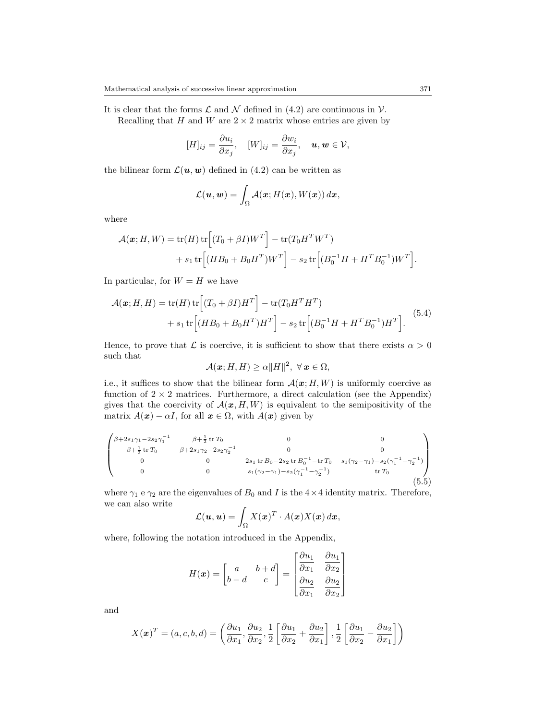It is clear that the forms  $\mathcal L$  and  $\mathcal N$  defined in (4.2) are continuous in  $\mathcal V$ . Recalling that *H* and *W* are  $2 \times 2$  matrix whose entries are given by

$$
[H]_{ij} = \frac{\partial u_i}{\partial x_j}, \quad [W]_{ij} = \frac{\partial w_i}{\partial x_j}, \quad \mathbf{u}, \mathbf{w} \in \mathcal{V},
$$

the bilinear form  $\mathcal{L}(\boldsymbol{u}, \boldsymbol{w})$  defined in (4.2) can be written as

$$
\mathcal{L}(\boldsymbol{u},\boldsymbol{w})=\int_{\Omega}\mathcal{A}(\boldsymbol{x};H(\boldsymbol{x}),W(\boldsymbol{x}))\,d\boldsymbol{x},
$$

where

$$
\mathcal{A}(\boldsymbol{x}; H, W) = \text{tr}(H) \text{tr}\Big[ (T_0 + \beta I)W^T \Big] - \text{tr}(T_0 H^T W^T) + s_1 \text{tr}\Big[ (H B_0 + B_0 H^T) W^T \Big] - s_2 \text{tr}\Big[ (B_0^{-1} H + H^T B_0^{-1}) W^T \Big].
$$

In particular, for  $W = H$  we have

$$
\mathcal{A}(\mathbf{x}; H, H) = \text{tr}(H) \text{tr}\left[ (T_0 + \beta I)H^T \right] - \text{tr}(T_0 H^T H^T) + s_1 \text{tr}\left[ (HB_0 + B_0 H^T)H^T \right] - s_2 \text{tr}\left[ (B_0^{-1} H + H^T B_0^{-1})H^T \right].
$$
 (5.4)

Hence, to prove that  $\mathcal L$  is coercive, it is sufficient to show that there exists  $\alpha > 0$ such that

$$
\mathcal{A}(\boldsymbol{x}; H, H) \ge \alpha ||H||^2, \ \forall \, \boldsymbol{x} \in \Omega,
$$

i.e., it suffices to show that the bilinear form  $\mathcal{A}(\mathbf{x}; H, W)$  is uniformly coercive as function of  $2 \times 2$  matrices. Furthermore, a direct calculation (see the Appendix) gives that the coercivity of  $\mathcal{A}(x, H, W)$  is equivalent to the semipositivity of the matrix  $A(\mathbf{x}) - \alpha I$ , for all  $\mathbf{x} \in \Omega$ , with  $A(\mathbf{x})$  given by

$$
\begin{pmatrix}\n\beta+2s_1\gamma_1-2s_2\gamma_1^{-1} & \beta+\frac{1}{2}\operatorname{tr}T_0 & 0 & 0 \\
\beta+\frac{1}{2}\operatorname{tr}T_0 & \beta+2s_1\gamma_2-2s_2\gamma_2^{-1} & 0 & 0 \\
0 & 0 & 2s_1\operatorname{tr}B_0-2s_2\operatorname{tr}B_0^{-1}-\operatorname{tr}T_0 & s_1(\gamma_2-\gamma_1)-s_2(\gamma_1^{-1}-\gamma_2^{-1}) \\
0 & 0 & s_1(\gamma_2-\gamma_1)-s_2(\gamma_1^{-1}-\gamma_2^{-1}) & \operatorname{tr}T_0\n\end{pmatrix}
$$
\n(5.5)

where  $\gamma_1$  e  $\gamma_2$  are the eigenvalues of  $B_0$  and *I* is the  $4 \times 4$  identity matrix. Therefore, we can also write

$$
\mathcal{L}(\boldsymbol{u},\boldsymbol{u})=\int_{\Omega}X(\boldsymbol{x})^T\cdot A(\boldsymbol{x})X(\boldsymbol{x})\,d\boldsymbol{x},
$$

where, following the notation introduced in the Appendix,

$$
H(\boldsymbol{x}) = \begin{bmatrix} a & b+d \\ b-d & c \end{bmatrix} = \begin{bmatrix} \frac{\partial u_1}{\partial x_1} & \frac{\partial u_1}{\partial x_2} \\ \frac{\partial u_2}{\partial x_1} & \frac{\partial u_2}{\partial x_2} \end{bmatrix}
$$

and

$$
X(\boldsymbol{x})^T = (a, c, b, d) = \left(\frac{\partial u_1}{\partial x_1}, \frac{\partial u_2}{\partial x_2}, \frac{1}{2} \left[\frac{\partial u_1}{\partial x_2} + \frac{\partial u_2}{\partial x_1}\right], \frac{1}{2} \left[\frac{\partial u_1}{\partial x_2} - \frac{\partial u_2}{\partial x_1}\right]\right)
$$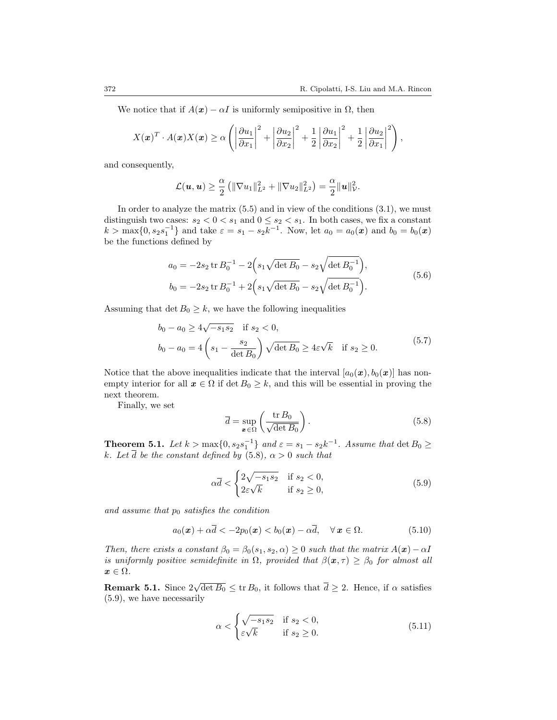We notice that if  $A(x) - \alpha I$  is uniformly semipositive in  $\Omega$ , then

$$
X(\boldsymbol{x})^T \cdot A(\boldsymbol{x}) X(\boldsymbol{x}) \ge \alpha \left( \left| \frac{\partial u_1}{\partial x_1} \right|^2 + \left| \frac{\partial u_2}{\partial x_2} \right|^2 + \frac{1}{2} \left| \frac{\partial u_1}{\partial x_2} \right|^2 + \frac{1}{2} \left| \frac{\partial u_2}{\partial x_1} \right|^2 \right),
$$

and consequently,

$$
\mathcal{L}(\bm{u},\bm{u}) \geq \frac{\alpha}{2} \left( \|\nabla u_1\|_{L^2}^2 + \|\nabla u_2\|_{L^2}^2 \right) = \frac{\alpha}{2} \|\bm{u}\|_{\mathcal{V}}^2.
$$

In order to analyze the matrix  $(5.5)$  and in view of the conditions  $(3.1)$ , we must distinguish two cases:  $s_2 < 0 < s_1$  and  $0 \le s_2 < s_1$ . In both cases, we fix a constant  $k > \max\{0, s_2 s_1^{-1}\}\$ and take  $\varepsilon = s_1 - s_2 k^{-1}$ . Now, let  $a_0 = a_0(\boldsymbol{x})$  and  $b_0 = b_0(\boldsymbol{x})$ be the functions defined by

$$
a_0 = -2s_2 \operatorname{tr} B_0^{-1} - 2\left(s_1 \sqrt{\det B_0} - s_2 \sqrt{\det B_0^{-1}}\right),
$$
  
\n
$$
b_0 = -2s_2 \operatorname{tr} B_0^{-1} + 2\left(s_1 \sqrt{\det B_0} - s_2 \sqrt{\det B_0^{-1}}\right).
$$
\n(5.6)

Assuming that  $\det B_0 \geq k$ , we have the following inequalities

$$
b_0 - a_0 \ge 4\sqrt{-s_1 s_2} \quad \text{if } s_2 < 0,
$$
  

$$
b_0 - a_0 = 4\left(s_1 - \frac{s_2}{\det B_0}\right) \sqrt{\det B_0} \ge 4\varepsilon\sqrt{k} \quad \text{if } s_2 \ge 0.
$$
 (5.7)

Notice that the above inequalities indicate that the interval  $[a_0(\mathbf{x}), b_0(\mathbf{x})]$  has nonempty interior for all  $x \in \Omega$  if  $\det B_0 \geq k$ , and this will be essential in proving the next theorem.

Finally, we set

$$
\overline{d} = \sup_{x \in \Omega} \left( \frac{\text{tr } B_0}{\sqrt{\det B_0}} \right). \tag{5.8}
$$

**Theorem 5.1.** *Let*  $k > \max\{0, s_2 s_1^{-1}\}$  and  $\varepsilon = s_1 - s_2 k^{-1}$ . Assume that  $\det B_0 \ge$ *k.* Let  $\overline{d}$  be the constant defined by (5.8),  $\alpha > 0$  *such that* 

$$
\alpha \overline{d} < \begin{cases} 2\sqrt{-s_1 s_2} & \text{if } s_2 < 0, \\ 2\varepsilon \sqrt{k} & \text{if } s_2 \ge 0, \end{cases} \tag{5.9}
$$

*and assume that p*<sup>0</sup> *satisfies the condition*

$$
a_0(\boldsymbol{x}) + \alpha \overline{d} < -2p_0(\boldsymbol{x}) < b_0(\boldsymbol{x}) - \alpha \overline{d}, \quad \forall \, \boldsymbol{x} \in \Omega. \tag{5.10}
$$

*Then, there exists a constant*  $\beta_0 = \beta_0(s_1, s_2, \alpha) \geq 0$  *such that the matrix*  $A(\mathbf{x}) - \alpha I$ *is uniformly positive semidefinite in*  $\Omega$ *, provided that*  $\beta(\mathbf{x}, \tau) \geq \beta_0$  *for almost all*  $x \in \Omega$ *.* 

**Remark 5.1.** Since  $2\sqrt{\det B_0} \leq \text{tr } B_0$ , it follows that  $\overline{d} \geq 2$ . Hence, if  $\alpha$  satisfies (5.9), we have necessarily

$$
\alpha < \begin{cases} \sqrt{-s_1 s_2} & \text{if } s_2 < 0, \\ \varepsilon \sqrt{k} & \text{if } s_2 \ge 0. \end{cases} \tag{5.11}
$$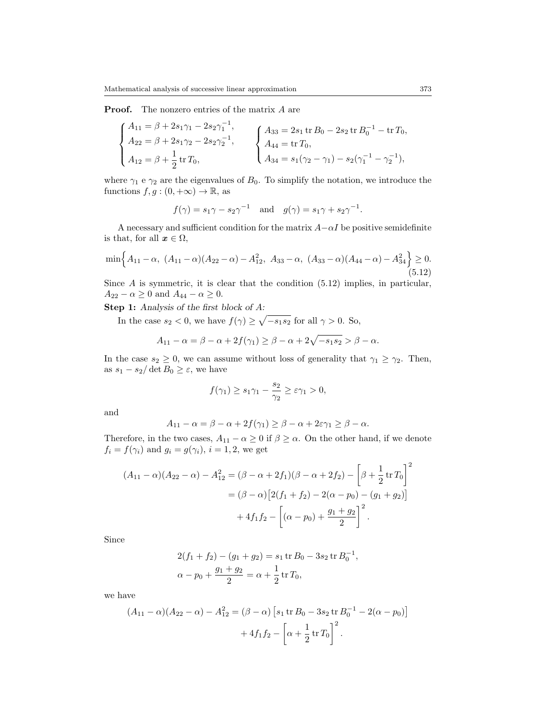**Proof.** The nonzero entries of the matrix *A* are

$$
\begin{cases}\nA_{11} = \beta + 2s_1\gamma_1 - 2s_2\gamma_1^{-1}, \\
A_{22} = \beta + 2s_1\gamma_2 - 2s_2\gamma_2^{-1}, \\
A_{12} = \beta + \frac{1}{2}\operatorname{tr} T_0, \\
A_{31} = s_1(\gamma_2 - \gamma_1) - s_2(\gamma_1^{-1} - \gamma_2^{-1}),\n\end{cases}
$$

where  $\gamma_1$  e  $\gamma_2$  are the eigenvalues of  $B_0$ . To simplify the notation, we introduce the functions  $f, g : (0, +\infty) \to \mathbb{R}$ , as

$$
f(\gamma) = s_1 \gamma - s_2 \gamma^{-1}
$$
 and  $g(\gamma) = s_1 \gamma + s_2 \gamma^{-1}$ .

A necessary and sufficient condition for the matrix *A−αI* be positive semidefinite is that, for all  $x \in \Omega$ ,

$$
\min\left\{A_{11}-\alpha,\ (A_{11}-\alpha)(A_{22}-\alpha)-A_{12}^2,\ A_{33}-\alpha,\ (A_{33}-\alpha)(A_{44}-\alpha)-A_{34}^2\right\}\geq 0.
$$
\n(5.12)

Since *A* is symmetric, it is clear that the condition  $(5.12)$  implies, in particular, *A*<sub>22</sub> *−*  $\alpha \ge 0$  and  $A_{44}$  *−*  $\alpha \ge 0$ .

**Step 1:** *Analysis of the first block of A:*

In the case  $s_2 < 0$ , we have  $f(\gamma) \geq \sqrt{-s_1 s_2}$  for all  $\gamma > 0$ . So,

$$
A_{11}-\alpha = \beta - \alpha + 2f(\gamma_1) \ge \beta - \alpha + 2\sqrt{-s_1s_2} > \beta - \alpha.
$$

In the case  $s_2 \geq 0$ , we can assume without loss of generality that  $\gamma_1 \geq \gamma_2$ . Then, as  $s_1 - s_2/\det B_0 \geq \varepsilon$ , we have

$$
f(\gamma_1) \ge s_1 \gamma_1 - \frac{s_2}{\gamma_2} \ge \varepsilon \gamma_1 > 0,
$$

and

$$
A_{11} - \alpha = \beta - \alpha + 2f(\gamma_1) \ge \beta - \alpha + 2\varepsilon\gamma_1 \ge \beta - \alpha.
$$

Therefore, in the two cases,  $A_{11} - \alpha \geq 0$  if  $\beta \geq \alpha$ . On the other hand, if we denote  $f_i = f(\gamma_i)$  and  $g_i = g(\gamma_i)$ ,  $i = 1, 2$ , we get

$$
(A_{11} - \alpha)(A_{22} - \alpha) - A_{12}^2 = (\beta - \alpha + 2f_1)(\beta - \alpha + 2f_2) - \left[\beta + \frac{1}{2} \operatorname{tr} T_0\right]^2
$$

$$
= (\beta - \alpha) \left[2(f_1 + f_2) - 2(\alpha - p_0) - (g_1 + g_2)\right]
$$

$$
+ 4f_1f_2 - \left[(\alpha - p_0) + \frac{g_1 + g_2}{2}\right]^2.
$$

Since

$$
2(f_1 + f_2) - (g_1 + g_2) = s_1 \operatorname{tr} B_0 - 3s_2 \operatorname{tr} B_0^{-1},
$$
  

$$
\alpha - p_0 + \frac{g_1 + g_2}{2} = \alpha + \frac{1}{2} \operatorname{tr} T_0,
$$

we have

$$
(A_{11} - \alpha)(A_{22} - \alpha) - A_{12}^2 = (\beta - \alpha) [s_1 \operatorname{tr} B_0 - 3s_2 \operatorname{tr} B_0^{-1} - 2(\alpha - p_0)]
$$

$$
+ 4f_1 f_2 - \left[\alpha + \frac{1}{2} \operatorname{tr} T_0\right]^2.
$$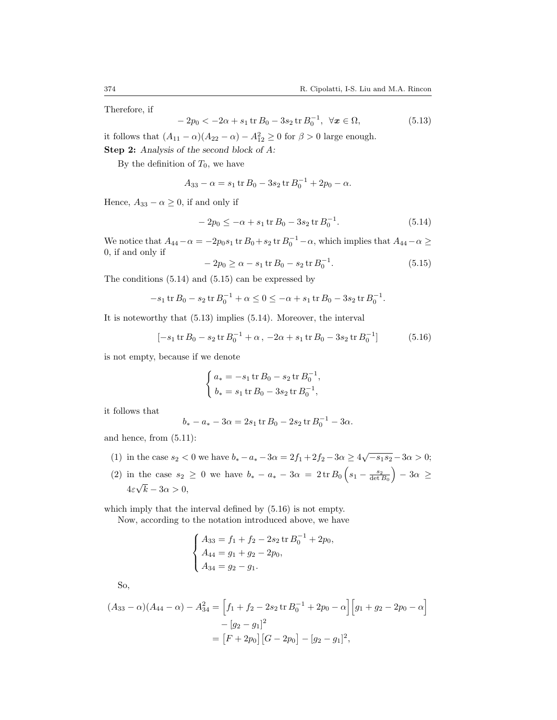Therefore, if

$$
-2p_0 < -2\alpha + s_1 \operatorname{tr} B_0 - 3s_2 \operatorname{tr} B_0^{-1}, \ \forall x \in \Omega,
$$
\n(5.13)

it follows that  $(A_{11} - \alpha)(A_{22} - \alpha) - A_{12}^2 \ge 0$  for  $\beta > 0$  large enough.

**Step 2:** *Analysis of the second block of A:*

By the definition of  $T_0$ , we have

$$
A_{33} - \alpha = s_1 \operatorname{tr} B_0 - 3s_2 \operatorname{tr} B_0^{-1} + 2p_0 - \alpha.
$$

Hence,  $A_{33} - \alpha \geq 0$ , if and only if

$$
-2p_0 \le -\alpha + s_1 \operatorname{tr} B_0 - 3s_2 \operatorname{tr} B_0^{-1}.
$$
 (5.14)

We notice that  $A_{44}$  −  $\alpha$  = −2 $p_0s_1$  tr  $B_0$  +  $s_2$  tr  $B_0^{-1}$  −  $\alpha$ , which implies that  $A_{44}$  −  $\alpha$  ≥ 0, if and only if

$$
-2p_0 \ge \alpha - s_1 \operatorname{tr} B_0 - s_2 \operatorname{tr} B_0^{-1}.\tag{5.15}
$$

The conditions (5.14) and (5.15) can be expressed by

$$
-s_1 \operatorname{tr} B_0 - s_2 \operatorname{tr} B_0^{-1} + \alpha \le 0 \le -\alpha + s_1 \operatorname{tr} B_0 - 3s_2 \operatorname{tr} B_0^{-1}.
$$

It is noteworthy that (5.13) implies (5.14). Moreover, the interval

$$
[-s_1 \operatorname{tr} B_0 - s_2 \operatorname{tr} B_0^{-1} + \alpha, -2\alpha + s_1 \operatorname{tr} B_0 - 3s_2 \operatorname{tr} B_0^{-1}] \tag{5.16}
$$

is not empty, because if we denote

$$
\begin{cases}\na_* = -s_1 \operatorname{tr} B_0 - s_2 \operatorname{tr} B_0^{-1}, \\
b_* = s_1 \operatorname{tr} B_0 - 3s_2 \operatorname{tr} B_0^{-1},\n\end{cases}
$$

it follows that

$$
b_* - a_* - 3\alpha = 2s_1 \operatorname{tr} B_0 - 2s_2 \operatorname{tr} B_0^{-1} - 3\alpha.
$$

and hence, from (5.11):

- (1) in the case  $s_2 < 0$  we have  $b_* a_* 3\alpha = 2f_1 + 2f_2 3\alpha \ge 4\sqrt{-s_1 s_2} 3\alpha > 0$ ;
- $(2)$  in the case  $s_2 \geq 0$  we have  $b_* a_* 3\alpha = 2 \text{ tr } B_0 \left( s_1 \frac{s_2}{\det B_0} \right) 3\alpha \geq 0$  $4\varepsilon\sqrt{k-3\alpha}>0,$ *√*

which imply that the interval defined by (5.16) is not empty.

Now, according to the notation introduced above, we have

$$
\begin{cases}\nA_{33} = f_1 + f_2 - 2s_2 \operatorname{tr} B_0^{-1} + 2p_0, \\
A_{44} = g_1 + g_2 - 2p_0, \\
A_{34} = g_2 - g_1.\n\end{cases}
$$

So,

$$
(A_{33} - \alpha)(A_{44} - \alpha) - A_{34}^2 = \left[ f_1 + f_2 - 2s_2 \operatorname{tr} B_0^{-1} + 2p_0 - \alpha \right] \left[ g_1 + g_2 - 2p_0 - \alpha \right]
$$

$$
- [g_2 - g_1]^2
$$

$$
= \left[ F + 2p_0 \right] \left[ G - 2p_0 \right] - [g_2 - g_1]^2,
$$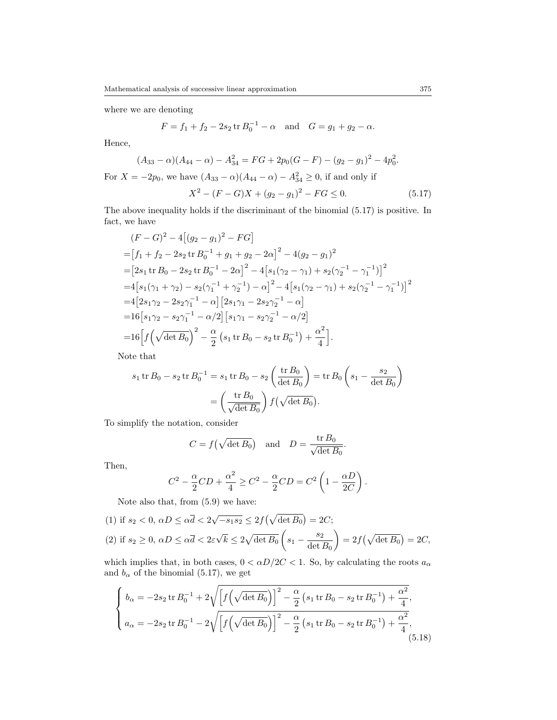where we are denoting

$$
F = f_1 + f_2 - 2s_2 \operatorname{tr} B_0^{-1} - \alpha \quad \text{and} \quad G = g_1 + g_2 - \alpha.
$$

Hence,

$$
(A_{33} - \alpha)(A_{44} - \alpha) - A_{34}^2 = FG + 2p_0(G - F) - (g_2 - g_1)^2 - 4p_0^2.
$$
  
For  $X = -2p_0$ , we have  $(A_{33} - \alpha)(A_{44} - \alpha) - A_{34}^2 \ge 0$ , if and only if  

$$
X^2 - (F - G)X + (g_2 - g_1)^2 - FG \le 0.
$$
 (5.17)

The above inequality holds if the discriminant of the binomial (5.17) is positive. In fact, we have

$$
(F - G)^2 - 4[(g_2 - g_1)^2 - FG]
$$
  
=  $[f_1 + f_2 - 2s_2 \text{ tr } B_0^{-1} + g_1 + g_2 - 2\alpha]^2 - 4(g_2 - g_1)^2$   
=  $[2s_1 \text{ tr } B_0 - 2s_2 \text{ tr } B_0^{-1} - 2\alpha]^2 - 4[s_1(\gamma_2 - \gamma_1) + s_2(\gamma_2^{-1} - \gamma_1^{-1})]^2$   
=  $4[s_1(\gamma_1 + \gamma_2) - s_2(\gamma_1^{-1} + \gamma_2^{-1}) - \alpha]^2 - 4[s_1(\gamma_2 - \gamma_1) + s_2(\gamma_2^{-1} - \gamma_1^{-1})]^2$   
=  $4[2s_1\gamma_2 - 2s_2\gamma_1^{-1} - \alpha][2s_1\gamma_1 - 2s_2\gamma_2^{-1} - \alpha]$   
=  $16[s_1\gamma_2 - s_2\gamma_1^{-1} - \alpha/2][s_1\gamma_1 - s_2\gamma_2^{-1} - \alpha/2]$   
=  $16[f(\sqrt{\det B_0})^2 - \frac{\alpha}{2}(s_1 \text{ tr } B_0 - s_2 \text{ tr } B_0^{-1}) + \frac{\alpha^2}{4}].$ 

Note that

$$
s_1 \operatorname{tr} B_0 - s_2 \operatorname{tr} B_0^{-1} = s_1 \operatorname{tr} B_0 - s_2 \left(\frac{\operatorname{tr} B_0}{\det B_0}\right) = \operatorname{tr} B_0 \left(s_1 - \frac{s_2}{\det B_0}\right)
$$

$$
= \left(\frac{\operatorname{tr} B_0}{\sqrt{\det B_0}}\right) f\left(\sqrt{\det B_0}\right).
$$

To simplify the notation, consider

$$
C = f(\sqrt{\det B_0}) \quad \text{and} \quad D = \frac{\operatorname{tr} B_0}{\sqrt{\det B_0}}.
$$

Then,

$$
C^{2} - \frac{\alpha}{2}CD + \frac{\alpha^{2}}{4} \ge C^{2} - \frac{\alpha}{2}CD = C^{2} \left( 1 - \frac{\alpha D}{2C} \right).
$$

Note also that, from (5.9) we have:

(1) if 
$$
s_2 < 0
$$
,  $\alpha D \le \alpha \overline{d} < 2\sqrt{-s_1 s_2} \le 2f(\sqrt{\det B_0}) = 2C$ ;  
\n(2) if  $s_2 \ge 0$ ,  $\alpha D \le \alpha \overline{d} < 2\varepsilon\sqrt{k} \le 2\sqrt{\det B_0} \left(s_1 - \frac{s_2}{\det B_0}\right) = 2f(\sqrt{\det B_0}) = 2C$ ,

which implies that, in both cases,  $0 < \alpha D/2C < 1$ . So, by calculating the roots  $a_{\alpha}$ and  $b_{\alpha}$  of the binomial (5.17), we get

$$
\begin{cases}\nb_{\alpha} = -2s_2 \operatorname{tr} B_0^{-1} + 2\sqrt{\left[f\left(\sqrt{\det B_0}\right)\right]^2 - \frac{\alpha}{2}\left(s_1 \operatorname{tr} B_0 - s_2 \operatorname{tr} B_0^{-1}\right) + \frac{\alpha^2}{4}}, \\
a_{\alpha} = -2s_2 \operatorname{tr} B_0^{-1} - 2\sqrt{\left[f\left(\sqrt{\det B_0}\right)\right]^2 - \frac{\alpha}{2}\left(s_1 \operatorname{tr} B_0 - s_2 \operatorname{tr} B_0^{-1}\right) + \frac{\alpha^2}{4}},\n\end{cases}
$$
\n(5.18)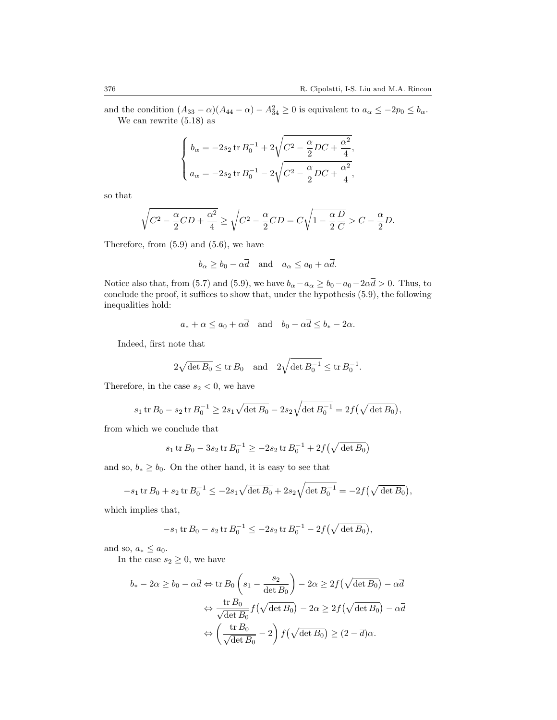and the condition  $(A_{33} - \alpha)(A_{44} - \alpha) - A_{34}^2 \ge 0$  is equivalent to  $a_{\alpha} \le -2p_0 \le b_{\alpha}$ . We can rewrite (5.18) as

$$
\begin{cases} b_{\alpha} = -2s_2 \operatorname{tr} B_0^{-1} + 2\sqrt{C^2 - \frac{\alpha}{2}DC + \frac{\alpha^2}{4}}, \\ a_{\alpha} = -2s_2 \operatorname{tr} B_0^{-1} - 2\sqrt{C^2 - \frac{\alpha}{2}DC + \frac{\alpha^2}{4}}, \end{cases}
$$

so that

$$
\sqrt{C^2 - \frac{\alpha}{2}CD + \frac{\alpha^2}{4}} \ge \sqrt{C^2 - \frac{\alpha}{2}CD} = C\sqrt{1 - \frac{\alpha}{2}\frac{D}{C}} > C - \frac{\alpha}{2}D.
$$

Therefore, from  $(5.9)$  and  $(5.6)$ , we have

$$
b_{\alpha} \ge b_0 - \alpha \overline{d}
$$
 and  $a_{\alpha} \le a_0 + \alpha \overline{d}$ .

Notice also that, from (5.7) and (5.9), we have  $b_{\alpha}$ *-* $a_{\alpha} \ge b_0$ *-* $a_0$ - $2\alpha\bar{d}$  > 0. Thus, to conclude the proof, it suffices to show that, under the hypothesis (5.9), the following inequalities hold:

$$
a_* + \alpha \le a_0 + \alpha \overline{d}
$$
 and  $b_0 - \alpha \overline{d} \le b_* - 2\alpha$ .

Indeed, first note that

$$
2\sqrt{\det B_0} \leq \text{tr } B_0 \text{ and } 2\sqrt{\det B_0^{-1}} \leq \text{tr } B_0^{-1}.
$$

Therefore, in the case  $s_2 < 0$ , we have

$$
s_1 \operatorname{tr} B_0 - s_2 \operatorname{tr} B_0^{-1} \ge 2s_1 \sqrt{\det B_0} - 2s_2 \sqrt{\det B_0^{-1}} = 2f(\sqrt{\det B_0}),
$$

from which we conclude that

$$
s_1 \operatorname{tr} B_0 - 3s_2 \operatorname{tr} B_0^{-1} \ge -2s_2 \operatorname{tr} B_0^{-1} + 2f(\sqrt{\det B_0})
$$

and so,  $b_* \geq b_0$ . On the other hand, it is easy to see that

$$
-s_1 \operatorname{tr} B_0 + s_2 \operatorname{tr} B_0^{-1} \le -2s_1 \sqrt{\det B_0} + 2s_2 \sqrt{\det B_0^{-1}} = -2f(\sqrt{\det B_0}),
$$

which implies that,

$$
-s_1 \operatorname{tr} B_0 - s_2 \operatorname{tr} B_0^{-1} \le -2s_2 \operatorname{tr} B_0^{-1} - 2f(\sqrt{\det B_0}),
$$

and so,  $a_* \leq a_0$ .

In the case  $s_2 \geq 0$ , we have

$$
b_* - 2\alpha \ge b_0 - \alpha \overline{d} \Leftrightarrow \text{tr } B_0 \left( s_1 - \frac{s_2}{\det B_0} \right) - 2\alpha \ge 2f(\sqrt{\det B_0}) - \alpha \overline{d}
$$

$$
\Leftrightarrow \frac{\text{tr } B_0}{\sqrt{\det B_0}} f(\sqrt{\det B_0}) - 2\alpha \ge 2f(\sqrt{\det B_0}) - \alpha \overline{d}
$$

$$
\Leftrightarrow \left( \frac{\text{tr } B_0}{\sqrt{\det B_0}} - 2 \right) f(\sqrt{\det B_0}) \ge (2 - \overline{d})\alpha.
$$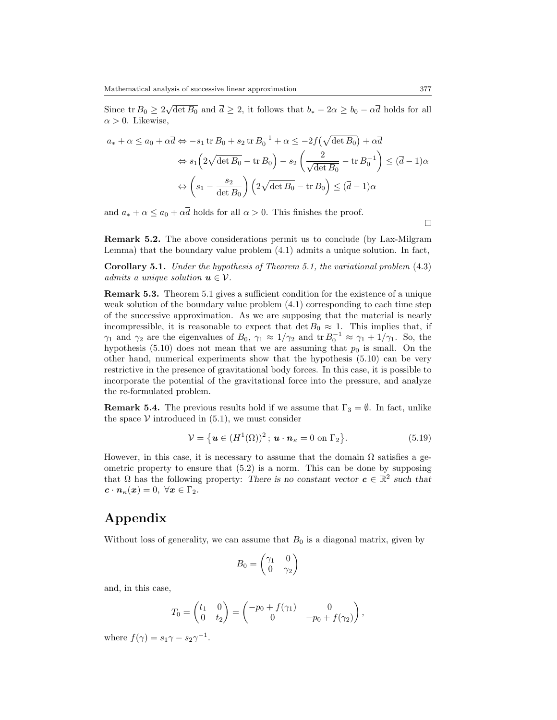Since  $\text{tr } B_0 \geq 2\sqrt{\det B_0}$  and  $\overline{d} \geq 2$ , it follows that  $b_* - 2\alpha \geq b_0 - \alpha \overline{d}$  holds for all  $\alpha > 0$ . Likewise,

$$
a_* + \alpha \le a_0 + \alpha \overline{d} \Leftrightarrow -s_1 \operatorname{tr} B_0 + s_2 \operatorname{tr} B_0^{-1} + \alpha \le -2f(\sqrt{\det B_0}) + \alpha \overline{d}
$$

$$
\Leftrightarrow s_1 \left( 2\sqrt{\det B_0} - \operatorname{tr} B_0 \right) - s_2 \left( \frac{2}{\sqrt{\det B_0}} - \operatorname{tr} B_0^{-1} \right) \le (\overline{d} - 1)\alpha
$$

$$
\Leftrightarrow \left( s_1 - \frac{s_2}{\det B_0} \right) \left( 2\sqrt{\det B_0} - \operatorname{tr} B_0 \right) \le (\overline{d} - 1)\alpha
$$

and  $a_* + \alpha \leq a_0 + \alpha \overline{d}$  holds for all  $\alpha > 0$ . This finishes the proof.

**Remark 5.2.** The above considerations permit us to conclude (by Lax-Milgram Lemma) that the boundary value problem (4.1) admits a unique solution. In fact,

**Corollary 5.1.** *Under the hypothesis of Theorem 5.1, the variational problem* (4.3) *admits a unique solution*  $u \in V$ *.* 

**Remark 5.3.** Theorem 5.1 gives a sufficient condition for the existence of a unique weak solution of the boundary value problem (4.1) corresponding to each time step of the successive approximation. As we are supposing that the material is nearly incompressible, it is reasonable to expect that  $\det B_0 \approx 1$ . This implies that, if *γ*<sub>1</sub> and *γ*<sub>2</sub> are the eigenvalues of *B*<sub>0</sub>, *γ*<sub>1</sub>  $\approx$  1/*γ*<sub>2</sub> and tr *B*<sub>0</sub><sup>-1</sup>  $\approx$  *γ*<sub>1</sub> + 1/*γ*<sub>1</sub>. So, the hypothesis  $(5.10)$  does not mean that we are assuming that  $p_0$  is small. On the other hand, numerical experiments show that the hypothesis (5.10) can be very restrictive in the presence of gravitational body forces. In this case, it is possible to incorporate the potential of the gravitational force into the pressure, and analyze the re-formulated problem.

**Remark 5.4.** The previous results hold if we assume that  $\Gamma_3 = \emptyset$ . In fact, unlike the space  $V$  introduced in  $(5.1)$ , we must consider

$$
\mathcal{V} = \left\{ \boldsymbol{u} \in (H^1(\Omega))^2 \, ; \, \boldsymbol{u} \cdot \boldsymbol{n}_\kappa = 0 \text{ on } \Gamma_2 \right\}. \tag{5.19}
$$

However, in this case, it is necessary to assume that the domain  $\Omega$  satisfies a geometric property to ensure that (5.2) is a norm. This can be done by supposing that  $\Omega$  has the following property: *There is no constant vector*  $c \in \mathbb{R}^2$  such that  $c \cdot n_{\kappa}(x) = 0, \ \forall x \in \Gamma_2.$ 

### **Appendix**

Without loss of generality, we can assume that  $B_0$  is a diagonal matrix, given by

$$
B_0 = \begin{pmatrix} \gamma_1 & 0 \\ 0 & \gamma_2 \end{pmatrix}
$$

and, in this case,

$$
T_0 = \begin{pmatrix} t_1 & 0 \\ 0 & t_2 \end{pmatrix} = \begin{pmatrix} -p_0 + f(\gamma_1) & 0 \\ 0 & -p_0 + f(\gamma_2) \end{pmatrix},
$$

where  $f(\gamma) = s_1 \gamma - s_2 \gamma^{-1}$ .

 $\Box$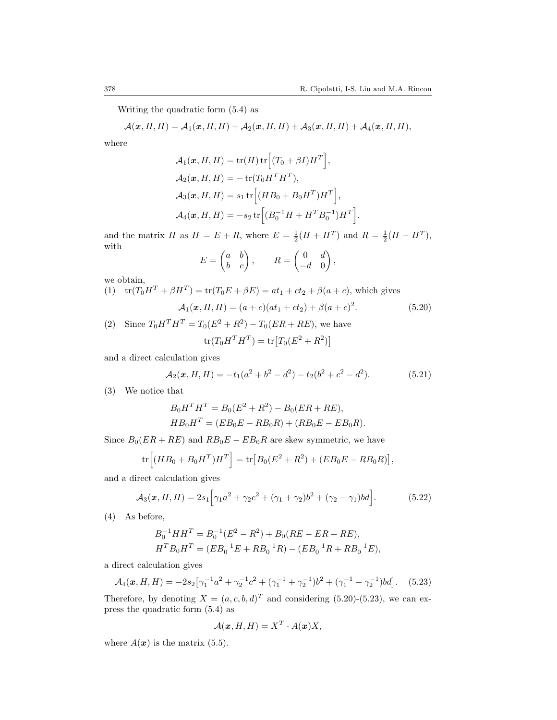Writing the quadratic form (5.4) as

$$
\mathcal{A}(\boldsymbol{x},H,H)=\mathcal{A}_1(\boldsymbol{x},H,H)+\mathcal{A}_2(\boldsymbol{x},H,H)+\mathcal{A}_3(\boldsymbol{x},H,H)+\mathcal{A}_4(\boldsymbol{x},H,H),
$$

where

$$
\mathcal{A}_1(\mathbf{x}, H, H) = \text{tr}(H) \text{tr}\Big[ (T_0 + \beta I) H^T \Big],
$$
  
\n
$$
\mathcal{A}_2(\mathbf{x}, H, H) = -\text{tr}(T_0 H^T H^T),
$$
  
\n
$$
\mathcal{A}_3(\mathbf{x}, H, H) = s_1 \text{tr}\Big[ (H B_0 + B_0 H^T) H^T \Big],
$$
  
\n
$$
\mathcal{A}_4(\mathbf{x}, H, H) = -s_2 \text{tr}\Big[ (B_0^{-1} H + H^T B_0^{-1}) H^T \Big].
$$

and the matrix *H* as  $H = E + R$ , where  $E = \frac{1}{2}(H + H^T)$  and  $R = \frac{1}{2}(H - H^T)$ , with

$$
E = \begin{pmatrix} a & b \\ b & c \end{pmatrix}, \qquad R = \begin{pmatrix} 0 & d \\ -d & 0 \end{pmatrix}
$$

we obtain,

- $(t)$   $tr(T_0H^T + \beta H^T) = tr(T_0E + \beta E) = at_1 + ct_2 + \beta(a+c)$ , which gives  $\mathcal{A}_1(\mathbf{x}, H, H) = (a+c)(at_1+ct_2) + \beta(a+c)^2$ *.* (5.20)
- (2) Since  $T_0 H^T H^T = T_0 (E^2 + R^2) T_0 (ER + RE)$ , we have

$$
\text{tr}(T_0H^T H^T) = \text{tr}[T_0(E^2 + R^2)]
$$

and a direct calculation gives

$$
\mathcal{A}_2(\mathbf{x}, H, H) = -t_1(a^2 + b^2 - d^2) - t_2(b^2 + c^2 - d^2). \tag{5.21}
$$

*,*

(3) We notice that

$$
B_0 H^T H^T = B_0 (E^2 + R^2) - B_0 (ER + RE),
$$
  
\n
$$
HB_0 H^T = (EB_0 E - RB_0 R) + (RB_0 E - EB_0 R).
$$

Since  $B_0(ER + RE)$  and  $RB_0E - EB_0R$  are skew symmetric, we have

$$
\text{tr}\Big[ (HB_0 + B_0H^T)H^T \Big] = \text{tr}\big[B_0(E^2 + R^2) + (EB_0E - RB_0R)\big],
$$

and a direct calculation gives

$$
A_3(x, H, H) = 2s_1 \Big[ \gamma_1 a^2 + \gamma_2 c^2 + (\gamma_1 + \gamma_2) b^2 + (\gamma_2 - \gamma_1) b d \Big]. \tag{5.22}
$$

(4) As before,

$$
B_0^{-1}HH^T = B_0^{-1}(E^2 - R^2) + B_0(RE - ER + RE),
$$
  

$$
H^T B_0 H^T = (EB_0^{-1}E + RB_0^{-1}R) - (EB_0^{-1}R + RB_0^{-1}E),
$$

a direct calculation gives

$$
\mathcal{A}_4(\mathbf{x}, H, H) = -2s_2 \left[ \gamma_1^{-1} a^2 + \gamma_2^{-1} c^2 + (\gamma_1^{-1} + \gamma_2^{-1}) b^2 + (\gamma_1^{-1} - \gamma_2^{-1}) b d \right]. \tag{5.23}
$$

Therefore, by denoting  $X = (a, c, b, d)^T$  and considering (5.20)-(5.23), we can express the quadratic form (5.4) as

$$
\mathcal{A}(\boldsymbol{x}, H, H) = X^T \cdot A(\boldsymbol{x}) X,
$$

where  $A(x)$  is the matrix (5.5).